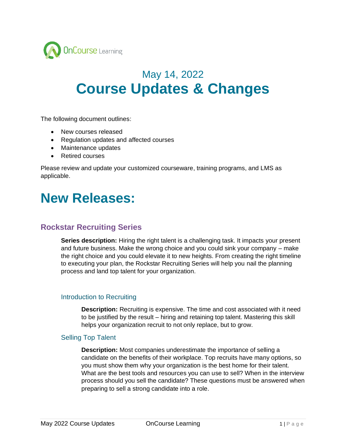

# May 14, 2022 **Course Updates & Changes**

The following document outlines:

- New courses released
- Regulation updates and affected courses
- Maintenance updates
- Retired courses

Please review and update your customized courseware, training programs, and LMS as applicable.

## **New Releases:**

## **Rockstar Recruiting Series**

**Series description:** Hiring the right talent is a challenging task. It impacts your present and future business. Make the wrong choice and you could sink your company – make the right choice and you could elevate it to new heights. From creating the right timeline to executing your plan, the Rockstar Recruiting Series will help you nail the planning process and land top talent for your organization.

## Introduction to Recruiting

**Description:** Recruiting is expensive. The time and cost associated with it need to be justified by the result – hiring and retaining top talent. Mastering this skill helps your organization recruit to not only replace, but to grow.

## Selling Top Talent

**Description:** Most companies underestimate the importance of selling a candidate on the benefits of their workplace. Top recruits have many options, so you must show them why your organization is the best home for their talent. What are the best tools and resources you can use to sell? When in the interview process should you sell the candidate? These questions must be answered when preparing to sell a strong candidate into a role.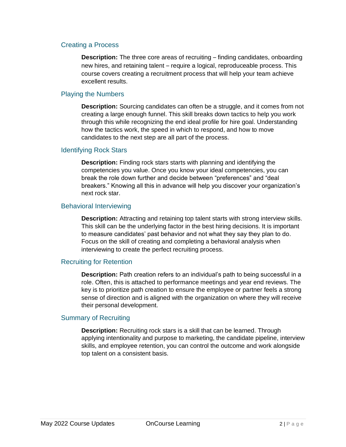## Creating a Process

**Description:** The three core areas of recruiting – finding candidates, onboarding new hires, and retaining talent – require a logical, reproduceable process. This course covers creating a recruitment process that will help your team achieve excellent results.

## Playing the Numbers

**Description:** Sourcing candidates can often be a struggle, and it comes from not creating a large enough funnel. This skill breaks down tactics to help you work through this while recognizing the end ideal profile for hire goal. Understanding how the tactics work, the speed in which to respond, and how to move candidates to the next step are all part of the process.

#### Identifying Rock Stars

**Description:** Finding rock stars starts with planning and identifying the competencies you value. Once you know your ideal competencies, you can break the role down further and decide between "preferences" and "deal breakers." Knowing all this in advance will help you discover your organization's next rock star.

#### Behavioral Interviewing

**Description:** Attracting and retaining top talent starts with strong interview skills. This skill can be the underlying factor in the best hiring decisions. It is important to measure candidates' past behavior and not what they say they plan to do. Focus on the skill of creating and completing a behavioral analysis when interviewing to create the perfect recruiting process.

## Recruiting for Retention

**Description:** Path creation refers to an individual's path to being successful in a role. Often, this is attached to performance meetings and year end reviews. The key is to prioritize path creation to ensure the employee or partner feels a strong sense of direction and is aligned with the organization on where they will receive their personal development.

## Summary of Recruiting

**Description:** Recruiting rock stars is a skill that can be learned. Through applying intentionality and purpose to marketing, the candidate pipeline, interview skills, and employee retention, you can control the outcome and work alongside top talent on a consistent basis.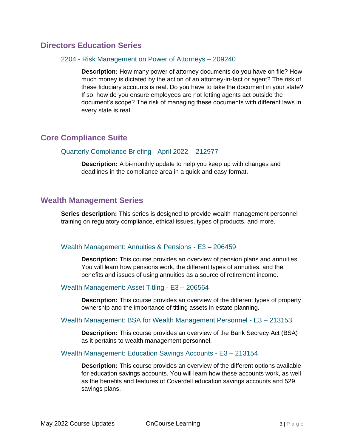## **Directors Education Series**

## 2204 - Risk Management on Power of Attorneys – 209240

**Description:** How many power of attorney documents do you have on file? How much money is dictated by the action of an attorney-in-fact or agent? The risk of these fiduciary accounts is real. Do you have to take the document in your state? If so, how do you ensure employees are not letting agents act outside the document's scope? The risk of managing these documents with different laws in every state is real.

## **Core Compliance Suite**

## Quarterly Compliance Briefing - April 2022 – 212977

**Description:** A bi-monthly update to help you keep up with changes and deadlines in the compliance area in a quick and easy format.

## **Wealth Management Series**

**Series description:** This series is designed to provide wealth management personnel training on regulatory compliance, ethical issues, types of products, and more.

## Wealth Management: Annuities & Pensions - E3 – 206459

**Description:** This course provides an overview of pension plans and annuities. You will learn how pensions work, the different types of annuities, and the benefits and issues of using annuities as a source of retirement income.

## Wealth Management: Asset Titling - E3 – 206564

**Description:** This course provides an overview of the different types of property ownership and the importance of titling assets in estate planning.

## Wealth Management: BSA for Wealth Management Personnel - E3 – 213153

**Description:** This course provides an overview of the Bank Secrecy Act (BSA) as it pertains to wealth management personnel.

## Wealth Management: Education Savings Accounts - E3 – 213154

**Description:** This course provides an overview of the different options available for education savings accounts. You will learn how these accounts work, as well as the benefits and features of Coverdell education savings accounts and 529 savings plans.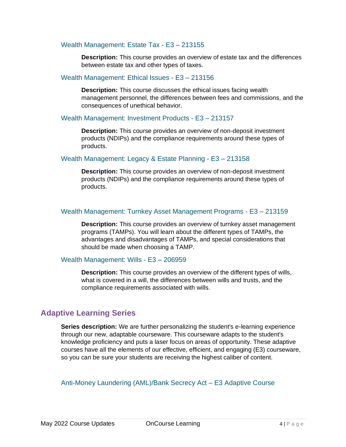## Wealth Management: Estate Tax - E3 – 213155

**Description:** This course provides an overview of estate tax and the differences between estate tax and other types of taxes.

#### Wealth Management: Ethical Issues - E3 – 213156

**Description:** This course discusses the ethical issues facing wealth management personnel, the differences between fees and commissions, and the consequences of unethical behavior.

#### Wealth Management: Investment Products - E3 – 213157

**Description:** This course provides an overview of non-deposit investment products (NDIPs) and the compliance requirements around these types of products.

#### Wealth Management: Legacy & Estate Planning - E3 – 213158

**Description:** This course provides an overview of non-deposit investment products (NDIPs) and the compliance requirements around these types of products.

## Wealth Management: Turnkey Asset Management Programs - E3 – 213159

**Description:** This course provides an overview of turnkey asset management programs (TAMPs). You will learn about the different types of TAMPs, the advantages and disadvantages of TAMPs, and special considerations that should be made when choosing a TAMP.

#### Wealth Management: Wills - E3 – 206959

**Description:** This course provides an overview of the different types of wills, what is covered in a will, the differences between wills and trusts, and the compliance requirements associated with wills.

## **Adaptive Learning Series**

**Series description:** We are further personalizing the student's e-learning experience through our new, adaptable courseware. This courseware adapts to the student's knowledge proficiency and puts a laser focus on areas of opportunity. These adaptive courses have all the elements of our effective, efficient, and engaging (E3) courseware, so you can be sure your students are receiving the highest caliber of content.

Anti-Money Laundering (AML)/Bank Secrecy Act – E3 Adaptive Course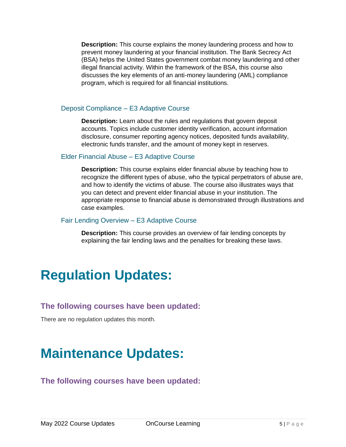**Description:** This course explains the money laundering process and how to prevent money laundering at your financial institution. The Bank Secrecy Act (BSA) helps the United States government combat money laundering and other illegal financial activity. Within the framework of the BSA, this course also discusses the key elements of an anti-money laundering (AML) compliance program, which is required for all financial institutions.

## Deposit Compliance – E3 Adaptive Course

**Description:** Learn about the rules and regulations that govern deposit accounts. Topics include customer identity verification, account information disclosure, consumer reporting agency notices, deposited funds availability, electronic funds transfer, and the amount of money kept in reserves.

## Elder Financial Abuse – E3 Adaptive Course

**Description:** This course explains elder financial abuse by teaching how to recognize the different types of abuse, who the typical perpetrators of abuse are, and how to identify the victims of abuse. The course also illustrates ways that you can detect and prevent elder financial abuse in your institution. The appropriate response to financial abuse is demonstrated through illustrations and case examples.

## Fair Lending Overview – E3 Adaptive Course

**Description:** This course provides an overview of fair lending concepts by explaining the fair lending laws and the penalties for breaking these laws.

# **Regulation Updates:**

## **The following courses have been updated:**

There are no regulation updates this month.

# **Maintenance Updates:**

## **The following courses have been updated:**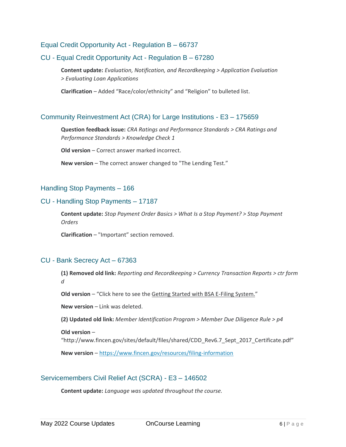## Equal Credit Opportunity Act - Regulation B – 66737

## CU - Equal Credit Opportunity Act - Regulation B – 67280

**Content update:** *Evaluation, Notification, and Recordkeeping > Application Evaluation > Evaluating Loan Applications*

**Clarification** – Added "Race/color/ethnicity" and "Religion" to bulleted list.

## Community Reinvestment Act (CRA) for Large Institutions - E3 – 175659

**Question feedback issue:** *CRA Ratings and Performance Standards > CRA Ratings and Performance Standards > Knowledge Check 1*

**Old version** – Correct answer marked incorrect.

**New version** – The correct answer changed to "The Lending Test."

#### Handling Stop Payments – 166

#### CU - Handling Stop Payments – 17187

**Content update:** *Stop Payment Order Basics > What Is a Stop Payment? > Stop Payment Orders* 

**Clarification** – "Important" section removed.

#### CU - Bank Secrecy Act – 67363

**(1) Removed old link:** *Reporting and Recordkeeping > Currency Transaction Reports > ctr form d* 

**Old version** – "Click here to see the Getting Started with BSA E-Filing System."

**New version** – Link was deleted.

**(2) Updated old link:** *Member Identification Program > Member Due Diligence Rule > p4* 

**Old version** –

"http://www.fincen.gov/sites/default/files/shared/CDD\_Rev6.7\_Sept\_2017\_Certificate.pdf"

**New version** – <https://www.fincen.gov/resources/filing-information>

## Servicemembers Civil Relief Act (SCRA) - E3 – 146502

**Content update:** *Language was updated throughout the course.*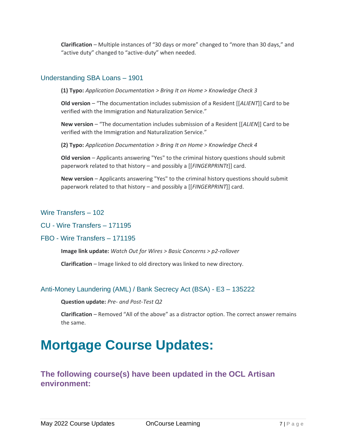**Clarification** – Multiple instances of "30 days or more" changed to "more than 30 days," and "active duty" changed to "active-duty" when needed.

## Understanding SBA Loans – 1901

**(1) Typo:** *Application Documentation > Bring It on Home > Knowledge Check 3*

**Old version** – "The documentation includes submission of a Resident [[*ALIENT*]] Card to be verified with the Immigration and Naturalization Service."

**New version** – "The documentation includes submission of a Resident [[*ALIEN*]] Card to be verified with the Immigration and Naturalization Service."

**(2) Typo:** *Application Documentation > Bring It on Home > Knowledge Check 4*

**Old version** – Applicants answering "Yes" to the criminal history questions should submit paperwork related to that history – and possibly a [[*FINGERPRINTt*]] card.

**New version** – Applicants answering "Yes" to the criminal history questions should submit paperwork related to that history – and possibly a [[*FINGERPRINT*]] card.

## Wire Transfers – 102

CU - Wire Transfers – 171195

FBO - Wire Transfers – 171195

**Image link update:** *Watch Out for Wires > Basic Concerns > p2-rollover*

**Clarification** – Image linked to old directory was linked to new directory.

## Anti-Money Laundering (AML) / Bank Secrecy Act (BSA) - E3 – 135222

**Question update:** *Pre- and Post-Test Q2*

**Clarification** – Removed "All of the above" as a distractor option. The correct answer remains the same.

# **Mortgage Course Updates:**

## **The following course(s) have been updated in the OCL Artisan environment:**